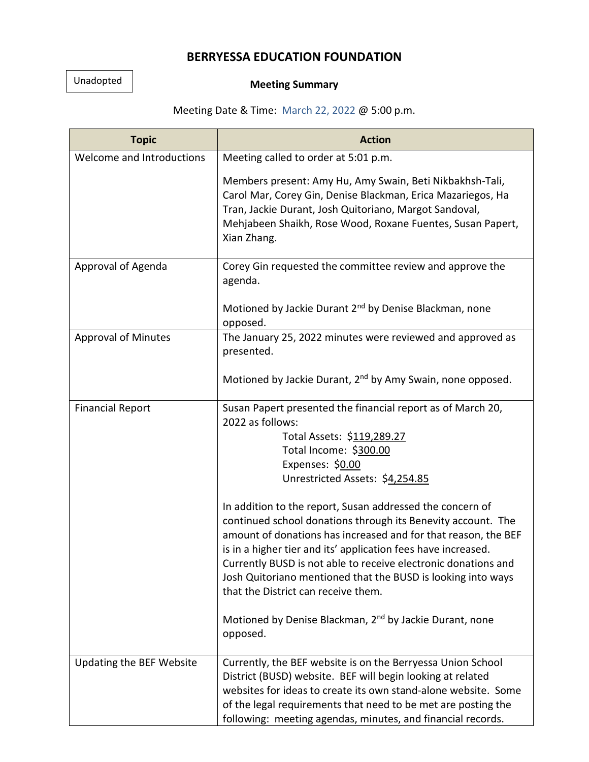## **BERRYESSA EDUCATION FOUNDATION**

## Unadopted

## **Meeting Summary**

## Meeting Date & Time: March 22, 2022 @ 5:00 p.m.

| <b>Topic</b>               | <b>Action</b>                                                                                                                                                                                                                                                                                                                                                                                                                                                                                                                                                                                                                                                                                                              |
|----------------------------|----------------------------------------------------------------------------------------------------------------------------------------------------------------------------------------------------------------------------------------------------------------------------------------------------------------------------------------------------------------------------------------------------------------------------------------------------------------------------------------------------------------------------------------------------------------------------------------------------------------------------------------------------------------------------------------------------------------------------|
| Welcome and Introductions  | Meeting called to order at 5:01 p.m.                                                                                                                                                                                                                                                                                                                                                                                                                                                                                                                                                                                                                                                                                       |
|                            | Members present: Amy Hu, Amy Swain, Beti Nikbakhsh-Tali,<br>Carol Mar, Corey Gin, Denise Blackman, Erica Mazariegos, Ha<br>Tran, Jackie Durant, Josh Quitoriano, Margot Sandoval,<br>Mehjabeen Shaikh, Rose Wood, Roxane Fuentes, Susan Papert,<br>Xian Zhang.                                                                                                                                                                                                                                                                                                                                                                                                                                                             |
| Approval of Agenda         | Corey Gin requested the committee review and approve the<br>agenda.                                                                                                                                                                                                                                                                                                                                                                                                                                                                                                                                                                                                                                                        |
|                            | Motioned by Jackie Durant 2 <sup>nd</sup> by Denise Blackman, none<br>opposed.                                                                                                                                                                                                                                                                                                                                                                                                                                                                                                                                                                                                                                             |
| <b>Approval of Minutes</b> | The January 25, 2022 minutes were reviewed and approved as<br>presented.                                                                                                                                                                                                                                                                                                                                                                                                                                                                                                                                                                                                                                                   |
|                            | Motioned by Jackie Durant, 2 <sup>nd</sup> by Amy Swain, none opposed.                                                                                                                                                                                                                                                                                                                                                                                                                                                                                                                                                                                                                                                     |
| <b>Financial Report</b>    | Susan Papert presented the financial report as of March 20,<br>2022 as follows:<br>Total Assets: \$119,289.27<br>Total Income: \$300.00<br>Expenses: \$0.00<br>Unrestricted Assets: \$4,254.85<br>In addition to the report, Susan addressed the concern of<br>continued school donations through its Benevity account. The<br>amount of donations has increased and for that reason, the BEF<br>is in a higher tier and its' application fees have increased.<br>Currently BUSD is not able to receive electronic donations and<br>Josh Quitoriano mentioned that the BUSD is looking into ways<br>that the District can receive them.<br>Motioned by Denise Blackman, 2 <sup>nd</sup> by Jackie Durant, none<br>opposed. |
| Updating the BEF Website   | Currently, the BEF website is on the Berryessa Union School<br>District (BUSD) website. BEF will begin looking at related<br>websites for ideas to create its own stand-alone website. Some<br>of the legal requirements that need to be met are posting the<br>following: meeting agendas, minutes, and financial records.                                                                                                                                                                                                                                                                                                                                                                                                |